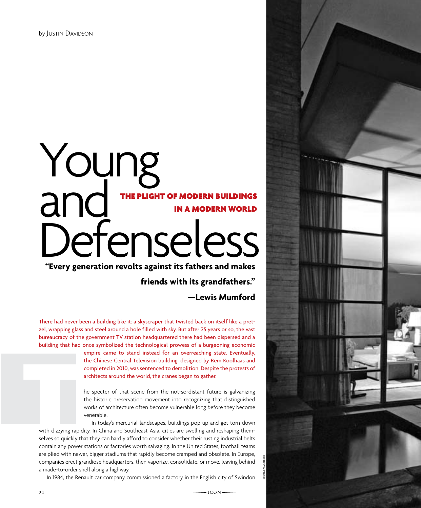## Young and Defenseless The plight of modern buildings in a modern world

**"Every generation revolts against its fathers and makes** 

**friends with its grandfathers."** 

**—Lewis Mumford**

There had never been a building like it: a skyscraper that twisted back on itself like a pretzel, wrapping glass and steel around a hole filled with sky. But after 25 years or so, the vast bureaucracy of the government TV station headquartered there had been dispersed and a building that had once symbolized the technological prowess of a burgeoning economic

> empire came to stand instead for an overreaching state. Eventually, the Chinese Central Television building, designed by Rem Koolhaas and completed in 2010, was sentenced to demolition. Despite the protests of architects around the world, the cranes began to gather.

> he specter of that scene from the not-so-distant future is galvanizing the historic preservation movement into recognizing that distinguished works of architecture often become vulnerable long before they become venerable.

In today's mercurial landscapes, buildings pop up and get torn down with dizzying rapidity. In China and Southeast Asia, cities are swelling and reshaping themselves so quickly that they can hardly afford to consider whether their rusting industrial belts contain any power stations or factories worth salvaging. In the United States, football teams are plied with newer, bigger stadiums that rapidly become cramped and obsolete. In Europe, companies erect grandiose headquarters, then vaporize, consolidate, or move, leaving behind a made-to-order shell along a highway. with dizzying rap<br>selves so quickly

In 1984, the Renault car company commissioned a factory in the English city of Swindon



 $-ICON$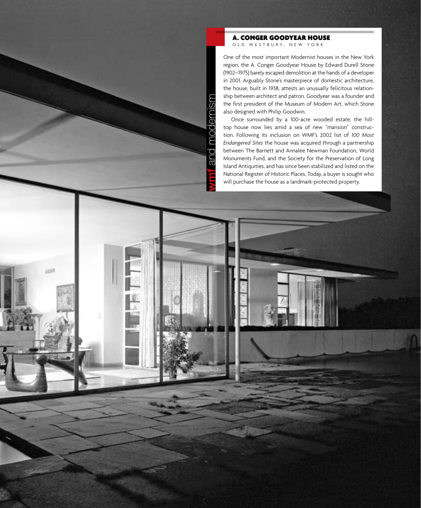A. Conger Goodyear House OLD WESTBURY, NEW YORK

One of the most important Modernist houses in the New York region, the A. Conger Goodyear House by Edward Durell Stone (1902–1975) barely escaped demolition at the hands of a developer in 2001. Arguably Stone's masterpiece of domestic architecture, the house, built in 1938, attests an unusually felicitous relationship between architect and patron. Goodyear was a founder and the first president of the Museum of Modern Art, which Stone also designed with Philip Goodwin.

Once surrounded by a 100-acre wooded estate, the hilltop house now lies amid a sea of new "mansion" construction. Following its inclusion on WMF's 2002 list of *100 Most Endangered Sites* the house was acquired through a partnership between The Barnett and Annalee Newman Foundation, World Monuments Fund, and the Society for the Preservation of Long Island Antiquities, and has since been stabilized and listed on the National Register of Historic Places. Today, a buyer is sought who will purchase the house as a landmark-protected property.

**wmf** and modernism

and

and I

modernism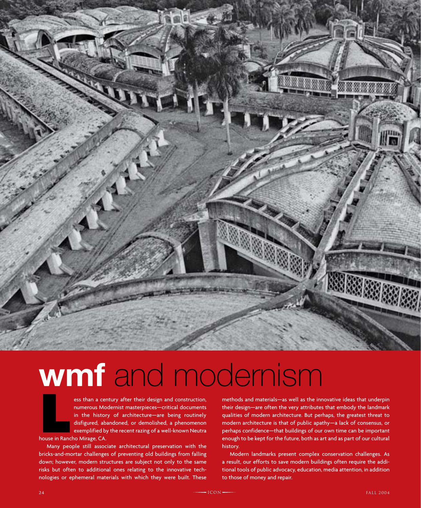

# **wmf** and modernism

ELESS TRIM A CONTROLLET USE THE USE OF THE USE OF THE USE OF THE SAME USE OF THE METHOD AND MIT AND MORE IN A SHAPE ON THE MORE IN A SHAPE OF THE MORE IN A SHAPE OF THE MORE IN A SHAPE OF THE MORE IN A SHAPE OF THE MORE OF numerous Modernist masterpieces—critical documents in the history of architecture—are being routinely disfigured, abandoned, or demolished, a phenomenon exemplified by the recent razing of a well-known Neutra house in Rancho Mirage, CA.

Many people still associate architectural preservation with the bricks-and-mortar challenges of preventing old buildings from falling down; however, modern structures are subject not only to the same risks but often to additional ones relating to the innovative technologies or ephemeral materials with which they were built. These methods and materials—as well as the innovative ideas that underpin their design—are often the very attributes that embody the landmark qualities of modern architecture. But perhaps, the greatest threat to modern architecture is that of public apathy—a lack of consensus, or perhaps confidence—that buildings of our own time can be important enough to be kept for the future, both as art and as part of our cultural history.

Modern landmarks present complex conservation challenges. As a result, our efforts to save modern buildings often require the additional tools of public advocacy, education, media attention, in addition to those of money and repair.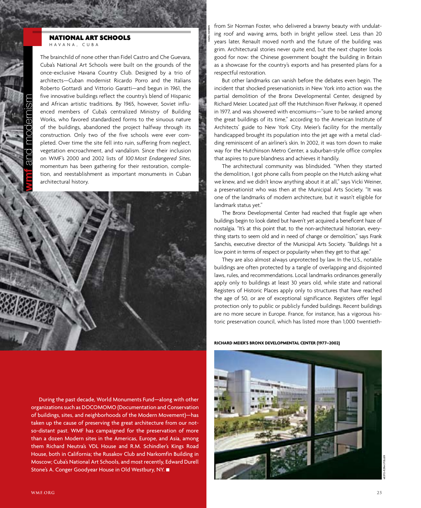#### national art schools havana , cu b a

The brainchild of none other than Fidel Castro and Che Guevara, Cuba's National Art Schools were built on the grounds of the once-exclusive Havana Country Club. Designed by a trio of architects—Cuban modernist Ricardo Porro and the Italians Roberto Gottardi and Vittorio Garatti—and begun in 1961, the five innovative buildings reflect the country's blend of Hispanic and African artistic traditions. By 1965, however, Soviet influenced members of Cuba's centralized Ministry of Building Works, who favored standardized forms to the sinuous nature of the buildings, abandoned the project halfway through its construction. Only two of the five schools were ever completed. Over time the site fell into ruin, suffering from neglect, vegetation encroachment, and vandalism. Since their inclusion on WMF's 2000 and 2002 lists of *100 Most Endangered Sites*, momentum has been gathering for their restoration, completion, and reestablishment as important monuments in Cuban architectural history.



During the past decade, World Monuments Fund—along with other organizations such as DOCOMOMO (Documentation and Conservation of buildings, sites, and neighborhoods of the Modern Movement)—has taken up the cause of preserving the great architecture from our notso-distant past. WMF has campaigned for the preservation of more than a dozen Modern sites in the Americas, Europe, and Asia, among them Richard Neutra's VDL House and R.M. Schindler's Kings Road House, both in California; the Rusakov Club and Narkomfin Building in Moscow; Cuba's National Art Schools, and most recently, Edward Durell Stone's A. Conger Goodyear House in Old Westbury, NY. ■

from Sir Norman Foster, who delivered a brawny beauty with undulating roof and waving arms, both in bright yellow steel. Less than 20 years later, Renault moved north and the future of the building was grim. Architectural stories never quite end, but the next chapter looks good for now: the Chinese government bought the building in Britain as a showcase for the country's exports and has presented plans for a respectful restoration.

hazel hankin

But other landmarks can vanish before the debates even begin. The incident that shocked preservationists in New York into action was the partial demolition of the Bronx Developmental Center, designed by Richard Meier. Located just off the Hutchinson River Parkway, it opened in 1977, and was showered with encomiums—"sure to be ranked among the great buildings of its time," according to the American Institute of Architects' guide to New York City. Meier's facility for the mentally handicapped brought its population into the jet age with a metal cladding reminiscent of an airliner's skin. In 2002, it was torn down to make way for the Hutchinson Metro Center, a suburban-style office complex that aspires to pure blandness and achieves it handily.

The architectural community was blindsided. "When they started the demolition, I got phone calls from people on the Hutch asking what we knew, and we didn't know anything about it at all," says Vicki Weiner, a preservationist who was then at the Municipal Arts Society. "It was one of the landmarks of modern architecture, but it wasn't eligible for landmark status yet."

The Bronx Developmental Center had reached that fragile age when buildings begin to look dated but haven't yet acquired a beneficent haze of nostalgia. "It's at this point that, to the non-architectural historian, everything starts to seem old and in need of change or demolition," says Frank Sanchis, executive director of the Municipal Arts Society. "Buildings hit a low point in terms of respect or popularity when they get to that age."

They are also almost always unprotected by law. In the U.S., notable buildings are often protected by a tangle of overlapping and disjointed laws, rules, and recommendations. Local landmarks ordinances generally apply only to buildings at least 30 years old, while state and national Registers of Historic Places apply only to structures that have reached the age of 50, or are of exceptional significance. Registers offer legal protection only to public or publicly funded buildings. Recent buildings are no more secure in Europe. France, for instance, has a vigorous historic preservation council, which has listed more than 1,000 twentieth-

#### **Richard Meier's Bronx Developmental Center (1977–2002)**

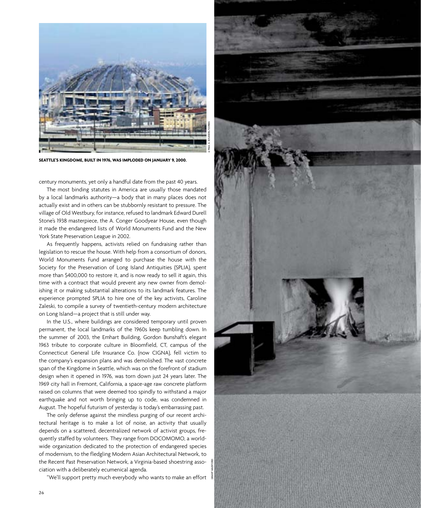

**Seattle's Kingdome, built in 1976, was imploded on January 9, 2000.** 

century monuments, yet only a handful date from the past 40 years.

The most binding statutes in America are usually those mandated by a local landmarks authority—a body that in many places does not actually exist and in others can be stubbornly resistant to pressure. The village of Old Westbury, for instance, refused to landmark Edward Durell Stone's 1938 masterpiece, the A. Conger Goodyear House, even though it made the endangered lists of World Monuments Fund and the New York State Preservation League in 2002.

As frequently happens, activists relied on fundraising rather than legislation to rescue the house. With help from a consortium of donors, World Monuments Fund arranged to purchase the house with the Society for the Preservation of Long Island Antiquities (SPLIA), spent more than \$400,000 to restore it, and is now ready to sell it again, this time with a contract that would prevent any new owner from demolishing it or making substantial alterations to its landmark features. The experience prompted SPLIA to hire one of the key activists, Caroline Zaleski, to compile a survey of twentieth-century modern architecture on Long Island—a project that is still under way.

In the U.S., where buildings are considered temporary until proven permanent, the local landmarks of the 1960s keep tumbling down. In the summer of 2003, the Emhart Building, Gordon Bunshaft's elegant 1963 tribute to corporate culture in Bloomfield, CT, campus of the Connecticut General Life Insurance Co. (now CIGNA), fell victim to the company's expansion plans and was demolished. The vast concrete span of the Kingdome in Seattle, which was on the forefront of stadium design when it opened in 1976, was torn down just 24 years later. The 1969 city hall in Fremont, California, a space-age raw concrete platform raised on columns that were deemed too spindly to withstand a major earthquake and not worth bringing up to code, was condemned in August. The hopeful futurism of yesterday is today's embarrassing past.

The only defense against the mindless purging of our recent architectural heritage is to make a lot of noise, an activity that usually depends on a scattered, decentralized network of activist groups, frequently staffed by volunteers. They range from DOCOMOMO, a worldwide organization dedicated to the protection of endangered species of modernism, to the fledgling Modern Asian Architectural Network, to the Recent Past Preservation Network, a Virginia-based shoestring association with a deliberately ecumenical agenda.

"We'll support pretty much everybody who wants to make an effort

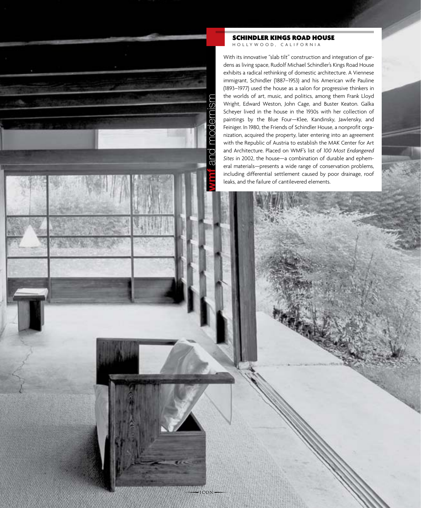modernism **wmf** and modernismpo ಹ

 $-ICON$ 

schindler kings road house ho l l ywood , ca l ifornia

With its innovative "slab tilt" construction and integration of gardens as living space, Rudolf Michael Schindler's Kings Road House exhibits a radical rethinking of domestic architecture. A Viennese immigrant, Schindler (1887–1953) and his American wife Pauline (1893–1977) used the house as a salon for progressive thinkers in the worlds of art, music, and politics, among them Frank Lloyd Wright, Edward Weston, John Cage, and Buster Keaton. Galka Scheyer lived in the house in the 1930s with her collection of paintings by the Blue Four—Klee, Kandinsky, Jawlensky, and Feiniger. In 1980, the Friends of Schindler House, a nonprofit organization, acquired the property, later entering into an agreement with the Republic of Austria to establish the MAK Center for Art and Architecture. Placed on WMF's list of *100 Most Endangered Sites* in 2002, the house—a combination of durable and ephemeral materials—presents a wide range of conservation problems, including differential settlement caused by poor drainage, roof leaks, and the failure of cantilevered elements.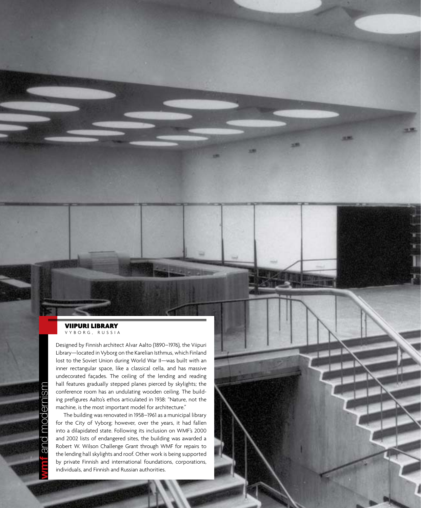#### viipuri library vy b org , russia

Designed by Finnish architect Alvar Aalto (1890–1976), the Viipuri Library—located in Vyborg on the Karelian Isthmus, which Finland lost to the Soviet Union during World War II—was built with an inner rectangular space, like a classical cella, and has massive undecorated façades. The ceiling of the lending and reading hall features gradually stepped planes pierced by skylights; the conference room has an undulating wooden ceiling. The building prefigures Aalto's ethos articulated in 1938: "Nature, not the machine, is the most important model for architecture."

The building was renovated in 1958–1961 as a municipal library for the City of Vyborg; however, over the years, it had fallen into a dilapidated state. Following its inclusion on WMF's 2000 and 2002 lists of endangered sites, the building was awarded a Robert W. Wilson Challenge Grant through WMF for repairs to the lending hall skylights and roof. Other work is being supported by private Finnish and international foundations, corporations, individuals, and Finnish and Russian authorities.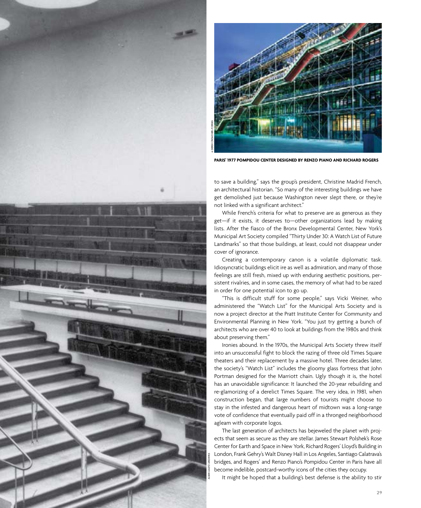



**Paris' 1977 Pompidou Center designed by Renzo Piano and Richard Rogers**

to save a building," says the group's president, Christine Madrid French, an architectural historian. "So many of the interesting buildings we have get demolished just because Washington never slept there, or they're not linked with a significant architect."

While French's criteria for what to preserve are as generous as they get—if it exists, it deserves to—other organizations lead by making lists. After the fiasco of the Bronx Developmental Center, New York's Municipal Art Society compiled "Thirty Under 30: A Watch List of Future Landmarks" so that those buildings, at least, could not disappear under cover of ignorance.

Creating a contemporary canon is a volatile diplomatic task. Idiosyncratic buildings elicit ire as well as admiration, and many of those feelings are still fresh, mixed up with enduring aesthetic positions, persistent rivalries, and in some cases, the memory of what had to be razed in order for one potential icon to go up.

"This is difficult stuff for some people," says Vicki Weiner, who administered the "Watch List" for the Municipal Arts Society and is now a project director at the Pratt Institute Center for Community and Environmental Planning in New York. "You just try getting a bunch of architects who are over 40 to look at buildings from the 1980s and think about preserving them."

Ironies abound. In the 1970s, the Municipal Arts Society threw itself into an unsuccessful fight to block the razing of three old Times Square theaters and their replacement by a massive hotel. Three decades later, the society's "Watch List" includes the gloomy glass fortress that John Portman designed for the Marriott chain. Ugly though it is, the hotel has an unavoidable significance: It launched the 20-year rebuilding and re-glamorizing of a derelict Times Square. The very idea, in 1981, when construction began, that large numbers of tourists might choose to stay in the infested and dangerous heart of midtown was a long-range vote of confidence that eventually paid off in a thronged neighborhood agleam with corporate logos.

The last generation of architects has bejeweled the planet with projects that seem as secure as they are stellar. James Stewart Polshek's Rose Center for Earth and Space in New York, Richard Rogers' Lloyd's Building in London, Frank Gehry's Walt Disney Hall in Los Angeles, Santiago Calatrava's bridges, and Rogers' and Renzo Piano's Pompidou Center in Paris have all become indelible, postcard-worthy icons of the cities they occupy.

It might be hoped that a building's best defense is the ability to stir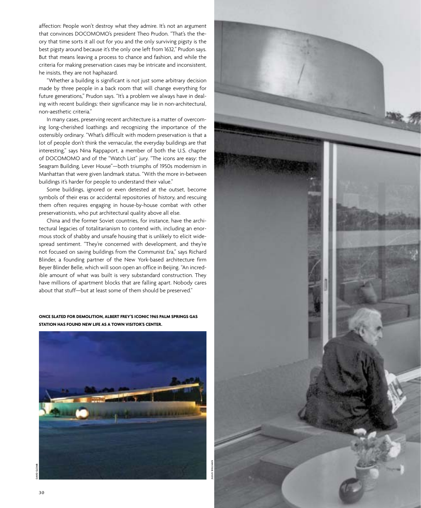affection: People won't destroy what they admire. It's not an argument that convinces DOCOMOMO's president Theo Prudon. "That's the theory that time sorts it all out for you and the only surviving pigsty is the best pigsty around because it's the only one left from 1632," Prudon says. But that means leaving a process to chance and fashion, and while the criteria for making preservation cases may be intricate and inconsistent, he insists, they are not haphazard.

"Whether a building is significant is not just some arbitrary decision made by three people in a back room that will change everything for future generations," Prudon says. "It's a problem we always have in dealing with recent buildings: their significance may lie in non-architectural, non-aesthetic criteria."

In many cases, preserving recent architecture is a matter of overcoming long-cherished loathings and recognizing the importance of the ostensibly ordinary. "What's difficult with modern preservation is that a lot of people don't think the vernacular, the everyday buildings are that interesting," says Nina Rappaport, a member of both the U.S. chapter of DOCOMOMO and of the "Watch List" jury. "The icons are easy: the Seagram Building, Lever House"—both triumphs of 1950s modernism in Manhattan that were given landmark status. "With the more in-between buildings it's harder for people to understand their value."

Some buildings, ignored or even detested at the outset, become symbols of their eras or accidental repositories of history, and rescuing them often requires engaging in house-by-house combat with other preservationists, who put architectural quality above all else.

China and the former Soviet countries, for instance, have the architectural legacies of totalitarianism to contend with, including an enormous stock of shabby and unsafe housing that is unlikely to elicit widespread sentiment. "They're concerned with development, and they're not focused on saving buildings from the Communist Era," says Richard Blinder, a founding partner of the New York-based architecture firm Beyer Blinder Belle, which will soon open an office in Beijing. "An incredible amount of what was built is very substandard construction. They have millions of apartment blocks that are falling apart. Nobody cares about that stuff—but at least some of them should be preserved."

**once slated for demolition, albert Frey's iconic 1965 palm Springs gas station has found new life as a town visitor's center.**



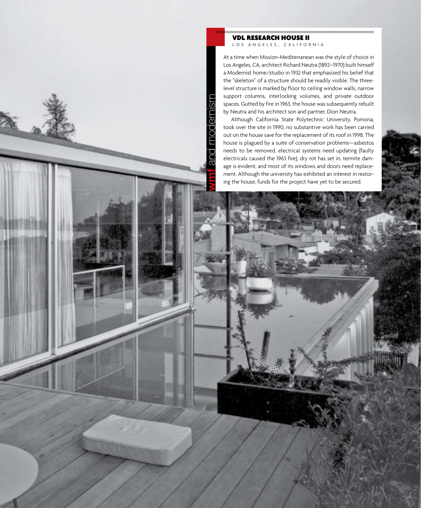#### VDL research house II LOS ANGELES, CALIFORNIA

**wmf** and modernism

po ൽ

moa

 $\overline{\textcirc}$ eni

At a time when Mission-Mediterranean was the style of choice in Los Angeles, CA, architect Richard Neutra (1892–1970) built himself a Modernist home/studio in 1932 that emphasized his belief that the "skeleton" of a structure should be readily visible. The threelevel structure is marked by floor to ceiling window walls, narrow support columns, interlocking volumes, and private outdoor spaces. Gutted by fire in 1963, the house was subsequently rebuilt by Neutra and his architect son and partner, Dion Neutra.

Although California State Polytechnic University, Pomona, took over the site in 1990, no substantive work has been carried out on the house save for the replacement of its roof in 1998. The house is plagued by a suite of conservation problems—asbestos needs to be removed, electrical systems need updating (faulty electricals caused the 1963 fire), dry rot has set in, termite damage is evident, and most of its windows and doors need replacement. Although the university has exhibited an interest in restoring the house, funds for the project have yet to be secured.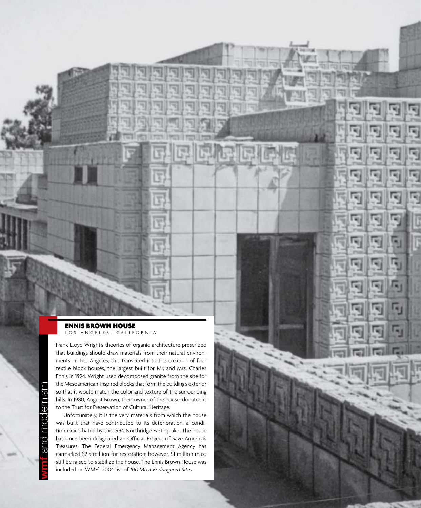#### ennis brown House LOS ANGELES, CALIFORNIA

Frank Lloyd Wright's theories of organic architecture prescribed that buildings should draw materials from their natural environments. In Los Angeles, this translated into the creation of four textile block houses, the largest built for Mr. and Mrs. Charles Ennis in 1924. Wright used decomposed granite from the site for the Mesoamerican-inspired blocks that form the building's exterior so that it would match the color and texture of the surrounding hills. In 1980, August Brown, then owner of the house, donated it to the Trust for Preservation of Cultural Heritage.

Unfortunately, it is the very materials from which the house was built that have contributed to its deterioration, a condition exacerbated by the 1994 Northridge Earthquake. The house has since been designated an Official Project of Save America's Treasures. The Federal Emergency Management Agency has earmarked \$2.5 million for restoration; however, \$1 million must still be raised to stabilize the house. The Ennis Brown House was included on WMF's 2004 list of *100 Most Endangered Sites*.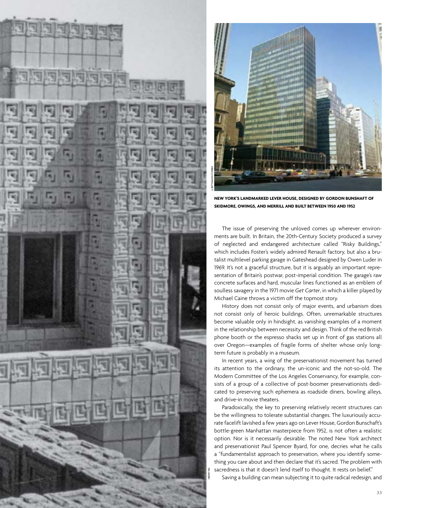



**New York's Landmarked Lever House, designed by Gordon Bunshaft of Skidmore, Owings, and Merrill and built between 1950 and 1952**

The issue of preserving the unloved comes up wherever environments are built. In Britain, the 20th-Century Society produced a survey of neglected and endangered architecture called "Risky Buildings," which includes Foster's widely admired Renault factory, but also a brutalist multilevel parking garage in Gateshead designed by Owen Luder in 1969. It's not a graceful structure, but it is arguably an important representation of Britain's postwar, post-imperial condition. The garage's raw concrete surfaces and hard, muscular lines functioned as an emblem of soulless savagery in the 1971 movie *Get Carter*, in which a killer played by Michael Caine throws a victim off the topmost story.

History does not consist only of major events, and urbanism does not consist only of heroic buildings. Often, unremarkable structures become valuable only in hindsight, as vanishing examples of a moment in the relationship between necessity and design. Think of the red British phone booth or the espresso shacks set up in front of gas stations all over Oregon—examples of fragile forms of shelter whose only longterm future is probably in a museum.

In recent years, a wing of the preservationist movement has turned its attention to the ordinary, the un-iconic and the not-so-old. The Modern Committee of the Los Angeles Conservancy, for example, consists of a group of a collective of post-boomer preservationists dedicated to preserving such ephemera as roadside diners, bowling alleys, and drive-in movie theaters.

Paradoxically, the key to preserving relatively recent structures can be the willingness to tolerate substantial changes. The luxuriously accurate facelift lavished a few years ago on Lever House, Gordon Bunschaft's bottle-green Manhattan masterpiece from 1952, is not often a realistic option. Nor is it necessarily desirable. The noted New York architect and preservationist Paul Spencer Byard, for one, decries what he calls a "fundamentalist approach to preservation, where you identify something you care about and then declare that it's sacred. The problem with sacredness is that it doesn't lend itself to thought. It rests on belief."

Saving a building can mean subjecting it to quite radical redesign, and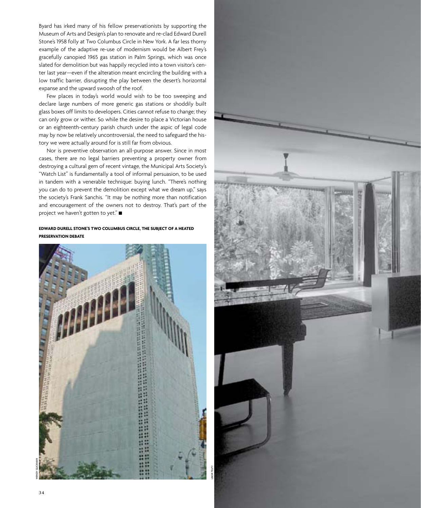Byard has irked many of his fellow preservationists by supporting the Museum of Arts and Design's plan to renovate and re-clad Edward Durell Stone's 1958 folly at Two Columbus Circle in New York. A far less thorny example of the adaptive re-use of modernism would be Albert Frey's gracefully canopied 1965 gas station in Palm Springs, which was once slated for demolition but was happily recycled into a town visitor's center last year—even if the alteration meant encircling the building with a low traffic barrier, disrupting the play between the desert's horizontal expanse and the upward swoosh of the roof.

Few places in today's world would wish to be too sweeping and declare large numbers of more generic gas stations or shoddily built glass boxes off limits to developers. Cities cannot refuse to change; they can only grow or wither. So while the desire to place a Victorian house or an eighteenth-century parish church under the aspic of legal code may by now be relatively uncontroversial, the need to safeguard the history we were actually around for is still far from obvious.

Nor is preventive observation an all-purpose answer. Since in most cases, there are no legal barriers preventing a property owner from destroying a cultural gem of recent vintage, the Municipal Arts Society's "Watch List" is fundamentally a tool of informal persuasion, to be used in tandem with a venerable technique: buying lunch. "There's nothing you can do to prevent the demolition except what we dream up," says the society's Frank Sanchis. "It may be nothing more than notification and encouragement of the owners not to destroy. That's part of the project we haven't gotten to yet." ■

#### **Edward Durell Stone's two Columbus Circle, the subject of a heated preservation debate**